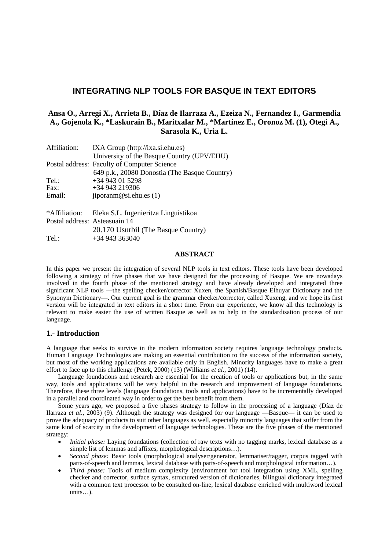# **INTEGRATING NLP TOOLS FOR BASQUE IN TEXT EDITORS**

# **Ansa O., Arregi X., Arrieta B., Díaz de Ilarraza A., Ezeiza N., Fernandez I., Garmendia A., Gojenola K., \*Laskurain B., Maritxalar M., \*Martínez E., Oronoz M. (1), Otegi A., Sarasola K., Uria L.**

| Affiliation:                  | IXA Group (http://ixa.si.ehu.es)              |
|-------------------------------|-----------------------------------------------|
|                               | University of the Basque Country (UPV/EHU)    |
|                               | Postal address: Faculty of Computer Science   |
|                               | 649 p.k., 20080 Donostia (The Basque Country) |
| Tel.:                         | $+34943015298$                                |
| Fax:                          | $+34943219306$                                |
| Email:                        | jiporanm@si.ehu.es(1)                         |
| *Affiliation:                 | Eleka S.L. Ingenieritza Linguistikoa          |
| Postal address: Asteasuain 14 |                                               |
|                               | 20.170 Usurbil (The Basque Country)           |
| Tel.:                         | $+34943363040$                                |

## **ABSTRACT**

In this paper we present the integration of several NLP tools in text editors. These tools have been developed following a strategy of five phases that we have designed for the processing of Basque. We are nowadays involved in the fourth phase of the mentioned strategy and have already developed and integrated three significant NLP tools ––the spelling checker/corrector Xuxen, the Spanish/Basque Elhuyar Dictionary and the Synonym Dictionary––. Our current goal is the grammar checker/corrector, called Xuxeng, and we hope its first version will be integrated in text editors in a short time. From our experience, we know all this technology is relevant to make easier the use of written Basque as well as to help in the standardisation process of our language.

# **1.- Introduction**

A language that seeks to survive in the modern information society requires language technology products. Human Language Technologies are making an essential contribution to the success of the information society, but most of the working applications are available only in English. Minority languages have to make a great effort to face up to this challenge (Petek, 2000) (13) (Williams *et al*., 2001) (14).

Language foundations and research are essential for the creation of tools or applications but, in the same way, tools and applications will be very helpful in the research and improvement of language foundations. Therefore, these three levels (language foundations, tools and applications) have to be incrementally developed in a parallel and coordinated way in order to get the best benefit from them.

Some years ago, we proposed a five phases strategy to follow in the processing of a language (Díaz de Ilarraza *et al*., 2003) (9). Although the strategy was designed for our language ––Basque–– it can be used to prove the adequacy of products to suit other languages as well, especially minority languages that suffer from the same kind of scarcity in the development of language technologies. These are the five phases of the mentioned strategy:

- *Initial phase:* Laying foundations (collection of raw texts with no tagging marks, lexical database as a simple list of lemmas and affixes, morphological descriptions…).
- *Second phase:* Basic tools (morphological analyser/generator, lemmatiser/tagger, corpus tagged with parts-of-speech and lemmas, lexical database with parts-of-speech and morphological information…).
- *Third phase:* Tools of medium complexity (environment for tool integration using XML, spelling checker and corrector, surface syntax, structured version of dictionaries, bilingual dictionary integrated with a common text processor to be consulted on-line, lexical database enriched with multiword lexical units…).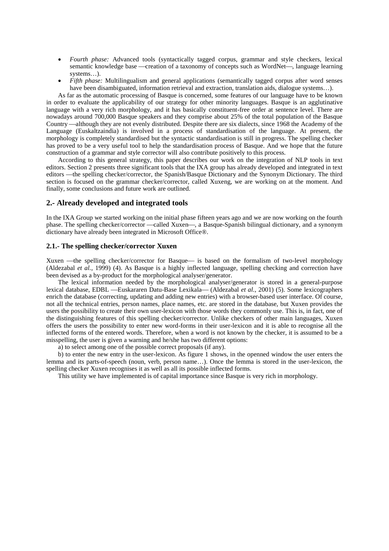- *Fourth phase:* Advanced tools (syntactically tagged corpus, grammar and style checkers, lexical semantic knowledge base —creation of a taxonomy of concepts such as WordNet—, language learning systems…).
- *Fifth phase:* Multilingualism and general applications (semantically tagged corpus after word senses have been disambiguated, information retrieval and extraction, translation aids, dialogue systems...).

As far as the automatic processing of Basque is concerned, some features of our language have to be known in order to evaluate the applicability of our strategy for other minority languages. Basque is an agglutinative language with a very rich morphology, and it has basically constituent-free order at sentence level. There are nowadays around 700,000 Basque speakers and they comprise about 25% of the total population of the Basque Country—although they are not evenly distributed. Despite there are six dialects, since 1968 the Academy of the Language (Euskaltzaindia) is involved in a process of standardisation of the language. At present, the morphology is completely standardised but the syntactic standardisation is still in progress. The spelling checker has proved to be a very useful tool to help the standardisation process of Basque. And we hope that the future construction of a grammar and style corrector will also contribute positively to this process.

According to this general strategy, this paper describes our work on the integration of NLP tools in text editors. Section 2 presents three significant tools that the IXA group has already developed and integrated in text editors ––the spelling checker/corrector, the Spanish/Basque Dictionary and the Synonym Dictionary. The third section is focused on the grammar checker/corrector, called Xuxeng, we are working on at the moment. And finally, some conclusions and future work are outlined.

## **2.- Already developed and integrated tools**

In the IXA Group we started working on the initial phase fifteen years ago and we are now working on the fourth phase. The spelling checker/corrector —called Xuxen—, a Basque-Spanish bilingual dictionary, and a synonym dictionary have already been integrated in Microsoft Office®.

# **2.1.- The spelling checker/corrector Xuxen**

Xuxen —the spelling checker/corrector for Basque— is based on the formalism of two-level morphology (Aldezabal *et al.*, 1999) (4). As Basque is a highly inflected language, spelling checking and correction have been devised as a by-product for the morphological analyser/generator.

The lexical information needed by the morphological analyser/generator is stored in a general-purpose lexical database, EDBL —Euskararen Datu-Base Lexikala— (Aldezabal et al., 2001) (5). Some lexicographers enrich the database (correcting, updating and adding new entries) with a browser-based user interface. Of course, not all the technical entries, person names, place names, etc. are stored in the database, but Xuxen provides the users the possibility to create their own user-lexicon with those words they commonly use. This is, in fact, one of the distinguishing features of this spelling checker/corrector. Unlike checkers of other main languages, Xuxen offers the users the possibility to enter new word-forms in their user-lexicon and it is able to recognise all the inflected forms of the entered words. Therefore, when a word is not known by the checker, it is assumed to be a misspelling, the user is given a warning and he/she has two different options:

a) to select among one of the possible correct proposals (if any).

b) to enter the new entry in the user-lexicon. As figure 1 shows, in the openned window the user enters the lemma and its parts-of-speech (noun, verb, person name…). Once the lemma is stored in the user-lexicon, the spelling checker Xuxen recognises it as well as all its possible inflected forms.

This utility we have implemented is of capital importance since Basque is very rich in morphology.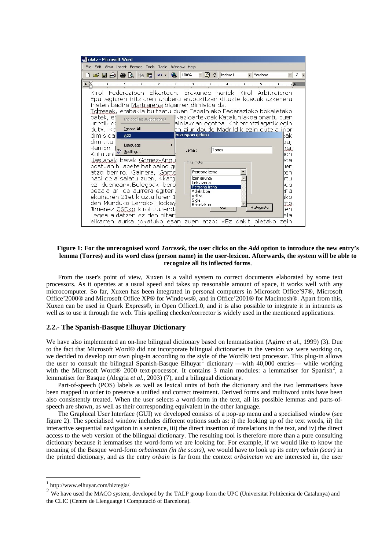

#### **Figure 1: For the unrecognised word** *Torresek***, the user clicks on the** *Add* **option to introduce the new entry's lemma (Torres) and its word class (person name) in the user-lexicon. Afterwards, the system will be able to recognize all its inflected forms**.

From the user's point of view, Xuxen is a valid system to correct documents elaborated by some text processors. As it operates at a usual speed and takes up reasonable amount of space, it works well with any microcomputer. So far, Xuxen has been integrated in personal computers in Microsoft Office'97®, Microsoft Office'2000® and Microsoft Office XP® for Windows®, and in Office'2001® for Macintosh®. Apart from this, Xuxen can be used in Quark Express®, in Open Office1.0, and it is also possible to integrate it in intranets as well as to use it through the web. This spelling checker/corrector is widely used in the mentioned applications.

### **2.2.- The Spanish-Basque Elhuyar Dictionary**

We have also implemented an on-line bilingual dictionary based on lemmatisation (Agirre *et al.*, 1999) (3). Due to the fact that Microsoft Word® did not incorporate bilingual dictionaries in the version we were working on, we decided to develop our own plug-in according to the style of the Word® text processor. This plug-in allows the user to consult the bilingual Spanish-Basque Elhuyar<sup>[1](#page-2-0)</sup> dictionary —with  $40,000$  entries— while working with the Microsoft Word® [2](#page-2-1)000 text-processor. It contains 3 main modules: a lemmatiser for Spanish<sup>2</sup>, a lemmatiser for Basque (Alegria *et al.*, 2003) (7), and a bilingual dictionary.

Part-of-speech (POS) labels as well as lexical units of both the dictionary and the two lemmatisers have been mapped in order to preserve a unified and correct treatment. Derived forms and multiword units have been also consistently treated. When the user selects a word-form in the text, all its possible lemmas and parts-ofspeech are shown, as well as their corresponding equivalent in the other language.

The Graphical User Interface (GUI) we developed consists of a pop-up menu and a specialised window (see figure 2). The specialised window includes different options such as: i) the looking up of the text words, ii) the interactive sequential navigation in a sentence, iii) the direct insertion of translations in the text, and iv) the direct access to the web version of the bilingual dictionary. The resulting tool is therefore more than a pure consulting dictionary because it lemmatises the word-form we are looking for. For example, if we would like to know the meaning of the Basque word-form *orbainetan (in the scars)*, we would have to look up its entry *orbain (scar)* in the printed dictionary*,* and as the entry *orbain* is far from the context *orbainetan* we are interested in, the user

-

<span id="page-2-0"></span><sup>1</sup> http://www.elhuyar.com/hiztegia/

<span id="page-2-1"></span><sup>&</sup>lt;sup>2</sup> We have used the MACO system, developed by the TALP group from the UPC (Universitat Politècnica de Catalunya) and the CLIC (Centre de Llenguatge i Computació of Barcelona).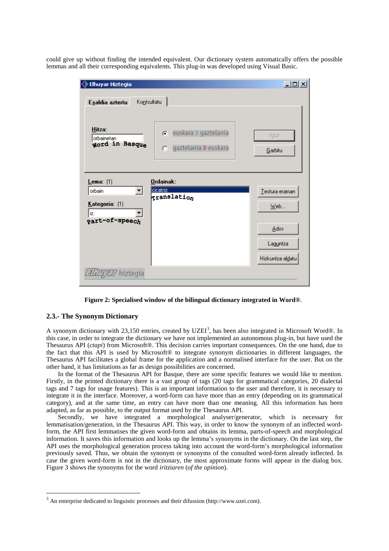could give up without finding the intended equivalent. Our dictionary system automatically offers the possible lemmas and all their corresponding equivalents. This plug-in was developed using Visual Basic.

| <b>Elhuyar Hiztegia</b>                                              |                                                        | 그미지                                                             |
|----------------------------------------------------------------------|--------------------------------------------------------|-----------------------------------------------------------------|
| Kontsultatu<br>Esaldia aztertu                                       |                                                        |                                                                 |
| Hitza:<br>orbainetan<br>word in Basque                               | euskara » gaztelania<br>G<br>gaztelania ≫ euskara<br>o | Itzuli<br>Garbitu                                               |
| Lema: (1)<br>orbain<br>▾╎<br>Kategoria: (1)<br>iz.<br>part-of-speech | Ordainak:<br>cicatriz<br><b>franslation</b>            | Testura eraman<br>$Web$<br>Ados<br>Laguntza<br>Hizkuntza aldatu |
| $\mathbb{Z}\!\!\mathbb{Z}\!\!\mathbb{Z}$ hizteqia                    |                                                        |                                                                 |

**Figure 2: Specialised window of the bilingual dictionary integrated in Word®**.

### **2.3.- The Synonym Dictionary**

<u>.</u>

A synonym dictionary with 2[3](#page-3-0),150 entries, created by UZEI<sup>3</sup>, has been also integrated in Microsoft Word®. In this case, in order to integrate the dictionary we have not implemented an autonomous plug-in, but have used the Thesaurus API (*ctapi*) from Microsoft®. This decision carries important consequences. On the one hand, due to the fact that this API is used by Microsoft® to integrate synonym dictionaries in different languages, the Thesaurus API facilitates a global frame for the application and a normalised interface for the user. But on the other hand, it has limitations as far as design possibilities are concerned.

In the format of the Thesaurus API for Basque, there are some specific features we would like to mention. Firstly, in the printed dictionary there is a vast group of tags (20 tags for grammatical categories, 20 dialectal tags and 7 tags for usage features). This is an important information to the user and therefore, it is necessary to integrate it in the interface. Moreover, a word-form can have more than an entry (depending on its grammatical category), and at the same time, an entry can have more than one meaning. All this information has been adapted, as far as possible, to the output format used by the Thesaurus API.

Secondly, we have integrated a morphological analyser/generator, which is necessary for lemmatisation/generation, in the Thesaurus API. This way, in order to know the synonym of an inflected wordform, the API first lemmatises the given word-form and obtains its lemma, parts-of-speech and morphological information. It saves this information and looks up the lemma's synonyms in the dictionary. On the last step, the API uses the morphological generation process taking into account the word-form's morphological information previously saved. Thus, we obtain the synonym or synonyms of the consulted word-form already inflected. In case the given word-form is not in the dictionary, the most approximate forms will appear in the dialog box. Figure 3 shows the synonyms for the word *iritziaren* (*of the opinion*).

<span id="page-3-0"></span><sup>3</sup> An enterprise dedicated to linguistic processes and their difussion (http://www.uzei.com).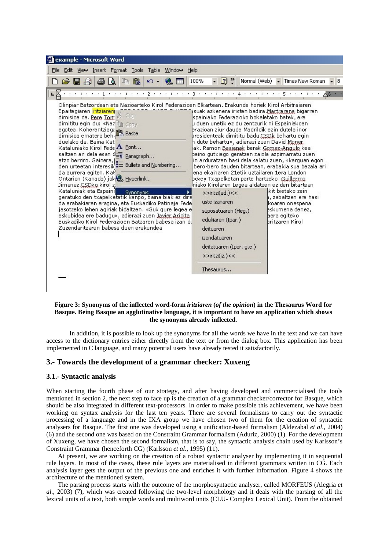

### **Figure 3: Synonyms of the inflected word-form** *iritziaren* **(***of the opinion***) in the Thesaurus Word for Basque. Being Basque an agglutinative language, it is important to have an application which shows the synonyms already inflected**.

In addition, it is possible to look up the synonyms for all the words we have in the text and we can have access to the dictionary entries either directly from the text or from the dialog box. This application has been implemented in C language, and many potential users have already tested it satisfactorily.

## **3.- Towards the development of a grammar checker: Xuxeng**

## **3.1.- Syntactic analysis**

When starting the fourth phase of our strategy, and after having developed and commercialised the tools mentioned in section 2, the next step to face up is the creation of a grammar checker/corrector for Basque, which should be also integrated in different text-processors. In order to make possible this achievement, we have been working on syntax analysis for the last ten years. There are several formalisms to carry out the syntactic processing of a language and in the IXA group we have chosen two of them for the creation of syntactic analysers for Basque. The first one was developed using a unification-based formalism (Aldezabal *et al*., 2004) (6) and the second one was based on the Constraint Grammar formalism (Aduriz, 2000) (1). For the development of Xuxeng, we have chosen the second formalism, that is to say, the syntactic analysis chain used by Karlsson's Constraint Grammar (henceforth CG) (Karlsson *et al*., 1995) (11).

At present, we are working on the creation of a robust syntactic analyser by implementing it in sequential rule layers. In most of the cases, these rule layers are materialised in different grammars written in CG. Each analysis layer gets the output of the previous one and enriches it with further information. Figure 4 shows the architecture of the mentioned system.

The parsing process starts with the outcome of the morphosyntactic analyser, called MORFEUS (Alegria *et al*., 2003) (7), which was created following the two-level morphology and it deals with the parsing of all the lexical units of a text, both simple words and multiword units (CLU- Complex Lexical Unit). From the obtained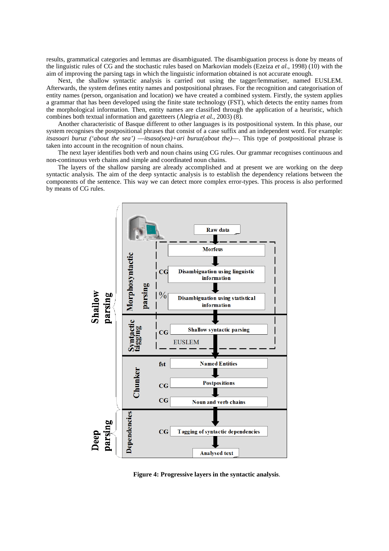results, grammatical categories and lemmas are disambiguated. The disambiguation process is done by means of the linguistic rules of CG and the stochastic rules based on Markovian models (Ezeiza *et al*., 1998) (10) with the aim of improving the parsing tags in which the linguistic information obtained is not accurate enough.

Next, the shallow syntactic analysis is carried out using the tagger/lemmatiser, named EUSLEM. Afterwards, the system defines entity names and postpositional phrases. For the recognition and categorisation of entity names (person, organisation and location) we have created a combined system. Firstly, the system applies a grammar that has been developed using the finite state technology (FST), which detects the entity names from the morphological information. Then, entity names are classified through the application of a heuristic, which combines both textual information and gazetteers (Alegria *et al.*, 2003) (8).

Another characteristic of Basque different to other languages is its postpositional system. In this phase, our system recognises the postpositional phrases that consist of a case suffix and an independent word. For example: *itsasoari buruz ('about the sea')* ––*itsaso(sea)+ari buruz(about the)*––. This type of postpositional phrase is taken into account in the recognition of noun chains.

The next layer identifies both verb and noun chains using CG rules. Our grammar recognises continuous and non-continuous verb chains and simple and coordinated noun chains.

The layers of the shallow parsing are already accomplished and at present we are working on the deep syntactic analysis. The aim of the deep syntactic analysis is to establish the dependency relations between the components of the sentence. This way we can detect more complex error-types. This process is also performed by means of CG rules.



**Figure 4: Progressive layers in the syntactic analysis**.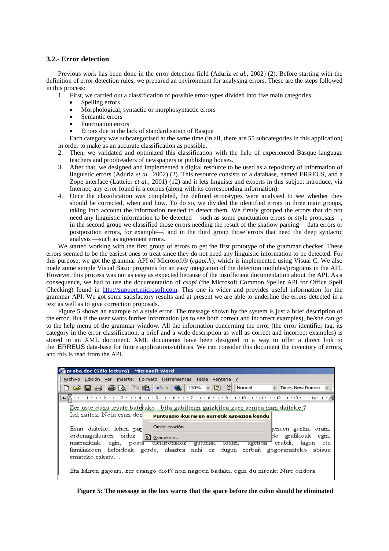## **3.2.- Error detection**

Previous work has been done in the error detection field (Aduriz *et al.*, 2002) (2). Before starting with the definition of error detection rules, we prepared an environment for analysing errors. These are the steps followed in this process:

- 1. First, we carried out a classification of possible error-types divided into five main categories:
	- Spelling errors
	- Morphological, syntactic or morphosyntactic errors
	- Semantic errors
	- Punctuation errors
	- Errors due to the lack of standardisation of Basque

Each category was subcategorised at the same time (in all, there are 55 subcategories in this application) in order to make as an accurate classification as possible.

- 2. Then, we validated and optimized this classification with the help of experienced Basque language teachers and proofreaders of newspapers or publishing houses.
- 3. After that, we designed and implemented a digital resource to be used as a repository of information of linguistic errors (Aduriz *et al.*, 2002) (2). This resource consists of a database, named ERREUS, and a Zope interface (Latteier *et al.*, 2001) (12) and it lets linguists and experts in this subject introduce, via Internet, any error found in a corpus (along with its corresponding information).
- 4. Once the classification was completed, the defined error-types were analysed to see whether they should be corrected, when and how. To do so, we divided the identified errors in three main groups, taking into account the information needed to detect them. We firstly grouped the errors that do not need any linguistic information to be detected —such as some punctuation errors or style proposals—, in the second group we classified those errors needing the result of the shallow parsing —data errors or postposition errors, for example—, and in the third group those errors that need the deep syntactic analysis —such as agreement errors.

We started working with the first group of errors to get the first prototype of the grammar checker. These errors seemed to be the easiest ones to treat since they do not need any linguistic information to be detected. For this purpose, we got the grammar API of Microsoft® (*cgapi.h*), which is implemented using Visual C. We also made some simple Visual Basic programs for an easy integration of the detection modules/programs in the API. However, this process was not as easy as expected because of the insufficient documentation about the API. As a consequence, we had to use the documentation of *csapi* (the Microsoft Common Speller API for Office Spell Checking) found in [http://support.microsoft.com.](http://support.microsoft.com/) This one is wider and provides useful information for the grammar API. We got some satisfactory results and at present we are able to underline the errors detected in a text as well as to give correction proposals.

Figure 5 shows an example of a style error. The message shown by the system is just a brief description of the error. But if the user wants further information (as to see both correct and incorrect examples), he/she can go to the help menu of the grammar window. All the information concerning the error (the error identifier tag, its category in the error classification, a brief and a wide description as well as correct and incorrect examples) is stored in an XML document. XML documents have been designed in a way to offer a direct link to the ERREUS data-base for future applications/utilities. We can consider this document the inventory of errors, and this is read from the API.

| proba.doc (Sólo lectura) - Microsoft Word                                                                                                                                                                                                                                                                                 |  |  |  |
|---------------------------------------------------------------------------------------------------------------------------------------------------------------------------------------------------------------------------------------------------------------------------------------------------------------------------|--|--|--|
| Archivo Edición Ver Insertar Formato Herramientas Tabla Ventana ?                                                                                                                                                                                                                                                         |  |  |  |
| $\sim$ $\blacksquare$<br>口产日台 李氏 《追<br>- 2<br>100%<br>≧<br>Normal<br>Times New Roman                                                                                                                                                                                                                                      |  |  |  |
| $\cdot$ + + 1 + 1 + 2 + 1 + 3 + 1 + 4 + 1 + 5 + 1 + 6 + 1 + 7 + 1 + 8 + 1 + 9 + 1 + 10 + 1 + 11 + 1 + 12 + 1 + 13 + 1 + 14 + 1 + $\wedge$                                                                                                                                                                                 |  |  |  |
| <u>Zer uste duzu ,esate batekako ; bila gabiltzan gaizkilea zure semea izan daiteke ?</u><br>Isil zaitez. Nola esan dezl<br>Puntuazio ikurraren aurretik espazioa kendu<br>Omitir oración                                                                                                                                 |  |  |  |
| Esan daiteke, lehen par<br>tenuen guztia, orain,<br>ordenagailuaren bidez<br>þlo grafikoak egin,<br>ы<br>Gramática<br>marrazkiak egin, posta elektronikoz<br>erabili, lagun<br>eta<br>agenda –<br>tdatzi,<br>gutunak<br>familiakoen helbideak gorde, ahaztea nahi ez dugun zerbait gogorarazteko abisua<br>emateko eskatu |  |  |  |
| Eta Miren gajoari, zer esango diot? non nagoen badaki; egin du nireak: Nire ondora                                                                                                                                                                                                                                        |  |  |  |

**Figure 5: The message in the box warns that the space before the colon should be eliminated**.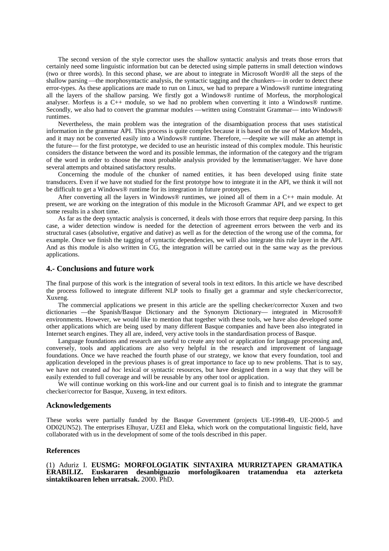The second version of the style corrector uses the shallow syntactic analysis and treats those errors that certainly need some linguistic information but can be detected using simple patterns in small detection windows (two or three words). In this second phase, we are about to integrate in Microsoft Word® all the steps of the shallow parsing—the morphosyntactic analysis, the syntactic tagging and the chunkers—in order to detect these error-types. As these applications are made to run on Linux, we had to prepare a Windows® runtime integrating all the layers of the shallow parsing. We firstly got a Windows® runtime of Morfeus, the morphological analyser. Morfeus is a C++ module, so we had no problem when converting it into a Windows® runtime. Secondly, we also had to convert the grammar modules ––written using Constraint Grammar–– into Windows® runtimes.

Nevertheless, the main problem was the integration of the disambiguation process that uses statistical information in the grammar API. This process is quite complex because it is based on the use of Markov Models, and it may not be converted easily into a Windows® runtime. Therefore, —despite we will make an attempt in the future—for the first prototype, we decided to use an heuristic instead of this complex module. This heuristic considers the distance between the word and its possible lemmas, the information of the category and the trigram of the word in order to choose the most probable analysis provided by the lemmatiser/tagger. We have done several attempts and obtained satisfactory results.

Concerning the module of the chunker of named entities, it has been developed using finite state transducers. Even if we have not studied for the first prototype how to integrate it in the API, we think it will not be difficult to get a Windows® runtime for its integration in future prototypes.

After converting all the layers in Windows® runtimes, we joined all of them in a C++ main module. At present, we are working on the integration of this module in the Microsoft Grammar API, and we expect to get some results in a short time.

As far as the deep syntactic analysis is concerned, it deals with those errors that require deep parsing. In this case, a wider detection window is needed for the detection of agreement errors between the verb and its structural cases (absolutive, ergative and dative) as well as for the detection of the wrong use of the comma, for example. Once we finish the tagging of syntactic dependencies, we will also integrate this rule layer in the API. And as this module is also written in CG, the integration will be carried out in the same way as the previous applications.

### **4.- Conclusions and future work**

The final purpose of this work is the integration of several tools in text editors. In this article we have described the process followed to integrate different NLP tools to finally get a grammar and style checker/corrector, Xuxeng.

The commercial applications we present in this article are the spelling checker/corrector Xuxen and two dictionaries ––the Spanish/Basque Dictionary and the Synonym Dictionary–– integrated in Microsoft® environments. However, we would like to mention that together with these tools, we have also developed some other applications which are being used by many different Basque companies and have been also integrated in Internet search engines. They all are, indeed, very active tools in the standardisation process of Basque.

Language foundations and research are useful to create any tool or application for language processing and, conversely, tools and applications are also very helpful in the research and improvement of language foundations. Once we have reached the fourth phase of our strategy, we know that every foundation, tool and application developed in the previous phases is of great importance to face up to new problems. That is to say, we have not created *ad hoc* lexical or syntactic resources, but have designed them in a way that they will be easily extended to full coverage and will be reusable by any other tool or application.

We will continue working on this work-line and our current goal is to finish and to integrate the grammar checker/corrector for Basque, Xuxeng, in text editors.

#### **Acknowledgements**

These works were partially funded by the Basque Government (projects UE-1998-49, UE-2000-5 and OD02UN52). The enterprises Elhuyar, UZEI and Eleka, which work on the computational linguistic field, have collaborated with us in the development of some of the tools described in this paper.

#### **References**

#### (1) Aduriz I. **EUSMG: MORFOLOGIATIK SINTAXIRA MURRIZTAPEN GRAMATIKA ERABILIZ. Euskararen desanbiguazio morfologikoaren tratamendua eta azterketa sintaktikoaren lehen urratsak.** 2000. PhD.